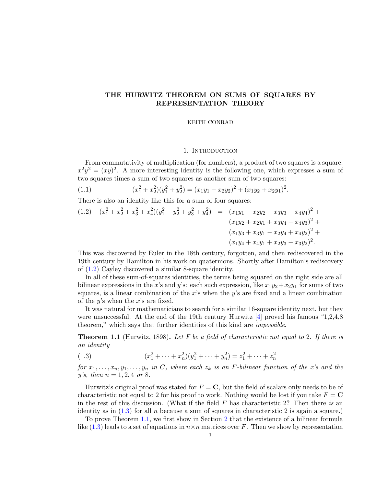# THE HURWITZ THEOREM ON SUMS OF SQUARES BY REPRESENTATION THEORY

## KEITH CONRAD

## 1. INTRODUCTION

From commutativity of multiplication (for numbers), a product of two squares is a square:  $x^2y^2 = (xy)^2$ . A more interesting identity is the following one, which expresses a sum of two squares times a sum of two squares as another sum of two squares:

<span id="page-0-3"></span>(1.1) 
$$
(x_1^2 + x_2^2)(y_1^2 + y_2^2) = (x_1y_1 - x_2y_2)^2 + (x_1y_2 + x_2y_1)^2.
$$

There is also an identity like this for a sum of four squares:

<span id="page-0-0"></span>
$$
(1.2) \quad (x_1^2 + x_2^2 + x_3^2 + x_4^2)(y_1^2 + y_2^2 + y_3^2 + y_4^2) = (x_1y_1 - x_2y_2 - x_3y_3 - x_4y_4)^2 + (x_1y_2 + x_2y_1 + x_3y_4 - x_4y_3)^2 + (x_1y_3 + x_3y_1 - x_2y_4 + x_4y_2)^2 + (x_1y_4 + x_4y_1 + x_2y_3 - x_3y_2)^2.
$$

This was discovered by Euler in the 18th century, forgotten, and then rediscovered in the 19th century by Hamilton in his work on quaternions. Shortly after Hamilton's rediscovery of [\(1.2\)](#page-0-0) Cayley discovered a similar 8-square identity.

In all of these sum-of-squares identities, the terms being squared on the right side are all bilinear expressions in the x's and y's: each such expression, like  $x_1y_2+x_2y_1$  for sums of two squares, is a linear combination of the x's when the y's are fixed and a linear combination of the  $y$ 's when the  $x$ 's are fixed.

It was natural for mathematicians to search for a similar 16-square identity next, but they were unsuccessful. At the end of the 19th century Hurwitz  $[4]$  proved his famous "1,2,4,8" theorem," which says that further identities of this kind are impossible.

<span id="page-0-2"></span>**Theorem 1.1** (Hurwitz, 1898). Let F be a field of characteristic not equal to 2. If there is an identity

<span id="page-0-1"></span>(1.3) 
$$
(x_1^2 + \dots + x_n^2)(y_1^2 + \dots + y_n^2) = z_1^2 + \dots + z_n^2
$$

for  $x_1, \ldots, x_n, y_1, \ldots, y_n$  in C, where each  $z_k$  is an F-bilinear function of the x's and the y's, then  $n = 1, 2, 4$  or 8.

Hurwitz's original proof was stated for  $F = \mathbf{C}$ , but the field of scalars only needs to be of characteristic not equal to 2 for his proof to work. Nothing would be lost if you take  $F = C$ in the rest of this discussion. (What if the field  $F$  has characteristic 2? Then there is an identity as in  $(1.3)$  for all n because a sum of squares in characteristic 2 is again a square.)

To prove Theorem [1.1,](#page-0-2) we first show in Section [2](#page-1-0) that the existence of a bilinear formula like  $(1.3)$  leads to a set of equations in  $n \times n$  matrices over F. Then we show by representation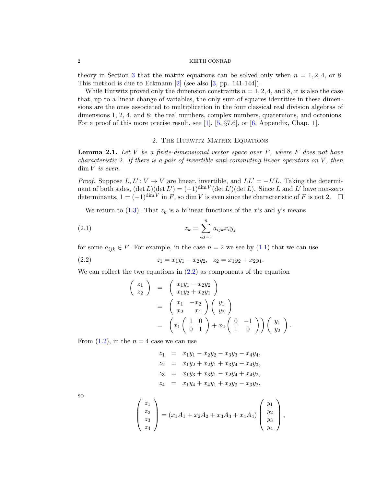## 2 KEITH CONRAD

theory in Section [3](#page-3-0) that the matrix equations can be solved only when  $n = 1, 2, 4$ , or 8. This method is due to Eckmann [\[2\]](#page-5-1) (see also [\[3,](#page-5-2) pp. 141-144]).

While Hurwitz proved only the dimension constraints  $n = 1, 2, 4$ , and 8, it is also the case that, up to a linear change of variables, the only sum of squares identities in these dimensions are the ones associated to multiplication in the four classical real division algebras of dimensions 1, 2, 4, and 8: the real numbers, complex numbers, quaternions, and octonions. For a proof of this more precise result, see [\[1\]](#page-5-3),  $[5, \S 7.6]$  $[5, \S 7.6]$ , or  $[6,$  Appendix, Chap. 1].

## 2. The Hurwitz Matrix Equations

<span id="page-1-3"></span><span id="page-1-0"></span>**Lemma 2.1.** Let V be a finite-dimensional vector space over  $F$ , where  $F$  does not have characteristic 2. If there is a pair of invertible anti-commuting linear operators on  $V$ , then  $\dim V$  is even.

*Proof.* Suppose  $L, L': V \to V$  are linear, invertible, and  $LL' = -L'L$ . Taking the determinant of both sides,  $(\det L)(\det L') = (-1)^{\dim V} (\det L') (\det L)$ . Since L and L' have non-zero determinants,  $1 = (-1)^{\dim V}$  in F, so dim V is even since the characteristic of F is not 2.  $\Box$ 

We return to [\(1.3\)](#page-0-1). That  $z_k$  is a bilinear functions of the x's and y's means

$$
(2.1) \t\t\t z_k = \sum_{i,j=1}^n a_{ijk} x_i y_j
$$

for some  $a_{ijk} \in F$ . For example, in the case  $n = 2$  we see by  $(1.1)$  that we can use

(2.2) 
$$
z_1 = x_1y_1 - x_2y_2, \quad z_2 = x_1y_2 + x_2y_1.
$$

We can collect the two equations in  $(2.2)$  as components of the equation

<span id="page-1-2"></span><span id="page-1-1"></span>
$$
\begin{pmatrix}\nz_1 \\
z_2\n\end{pmatrix} = \begin{pmatrix}\nx_1y_1 - x_2y_2 \\
x_1y_2 + x_2y_1\n\end{pmatrix}
$$
\n
$$
= \begin{pmatrix}\nx_1 & -x_2 \\
x_2 & x_1\n\end{pmatrix} \begin{pmatrix}\ny_1 \\
y_2\n\end{pmatrix}
$$
\n
$$
= \begin{pmatrix}\nx_1 \begin{pmatrix} 1 & 0 \\
0 & 1 \end{pmatrix} + x_2 \begin{pmatrix} 0 & -1 \\
1 & 0 \end{pmatrix} \end{pmatrix} \begin{pmatrix} y_1 \\
y_2 \end{pmatrix}.
$$

From  $(1.2)$ , in the  $n = 4$  case we can use

$$
z_1 = x_1y_1 - x_2y_2 - x_3y_3 - x_4y_4,
$$
  
\n
$$
z_2 = x_1y_2 + x_2y_1 + x_3y_4 - x_4y_3,
$$
  
\n
$$
z_3 = x_1y_3 + x_3y_1 - x_2y_4 + x_4y_2,
$$
  
\n
$$
z_4 = x_1y_4 + x_4y_1 + x_2y_3 - x_3y_2,
$$

so

$$
\begin{pmatrix} z_1 \\ z_2 \\ z_3 \\ z_4 \end{pmatrix} = (x_1A_1 + x_2A_2 + x_3A_3 + x_4A_4) \begin{pmatrix} y_1 \\ y_2 \\ y_3 \\ y_4 \end{pmatrix},
$$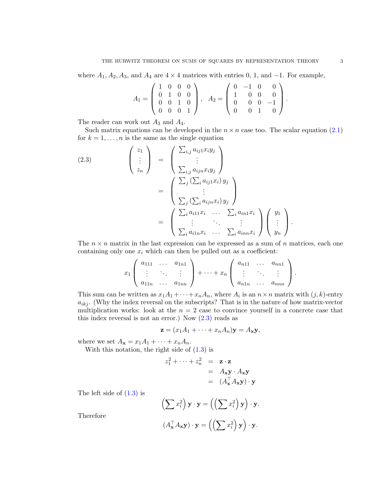where  $A_1, A_2, A_3$ , and  $A_4$  are  $4 \times 4$  matrices with entries 0, 1, and  $-1$ . For example,

$$
A_1 = \left(\begin{array}{rrr} 1 & 0 & 0 & 0 \\ 0 & 1 & 0 & 0 \\ 0 & 0 & 1 & 0 \\ 0 & 0 & 0 & 1 \end{array}\right), \quad A_2 = \left(\begin{array}{rrr} 0 & -1 & 0 & 0 \\ 1 & 0 & 0 & 0 \\ 0 & 0 & 0 & -1 \\ 0 & 0 & 1 & 0 \end{array}\right).
$$

The reader can work out  $A_3$  and  $A_4$ .

Such matrix equations can be developed in the  $n \times n$  case too. The scalar equation [\(2.1\)](#page-1-2) for  $k = 1, \ldots, n$  is the same as the single equation

<span id="page-2-0"></span>(2.3)
$$
\begin{pmatrix} z_1 \\ \vdots \\ z_n \end{pmatrix} = \begin{pmatrix} \sum_{i,j} a_{ij1} x_i y_j \\ \vdots \\ \sum_{i,j} a_{ijn} x_i y_j \end{pmatrix}
$$

$$
= \begin{pmatrix} \sum_j (\sum_i a_{ij1} x_i) y_j \\ \vdots \\ \sum_j (\sum_i a_{ijn} x_i) y_j \end{pmatrix}
$$

$$
= \begin{pmatrix} \sum_i a_{i11} x_i & \cdots & \sum_i a_{in1} x_i \\ \vdots & \ddots & \vdots \\ \sum_i a_{i1n} x_i & \cdots & \sum_i a_{inn} x_i \end{pmatrix} \begin{pmatrix} y_1 \\ \vdots \\ y_n \end{pmatrix}.
$$

The  $n \times n$  matrix in the last expression can be expressed as a sum of n matrices, each one containing only one  $x_i$  which can then be pulled out as a coefficient:

$$
x_1\left(\begin{array}{ccc}a_{111}&\ldots&a_{1n1}\\ \vdots&\ddots&\vdots\\ a_{11n}&\ldots&a_{1nn}\end{array}\right)+\cdots+x_n\left(\begin{array}{ccc}a_{n11}&\ldots&a_{nn1}\\ \vdots&\ddots&\vdots\\ a_{n1n}&\ldots&a_{nnn}\end{array}\right).
$$

This sum can be written as  $x_1A_1 + \cdots + x_nA_n$ , where  $A_i$  is an  $n \times n$  matrix with  $(j, k)$ -entry  $a_{ikj}$ . (Why the index reversal on the subscripts? That is in the nature of how matrix-vector multiplication works: look at the  $n = 2$  case to convince yourself in a concrete case that this index reversal is not an error.) Now  $(2.3)$  reads as

$$
\mathbf{z} = (x_1A_1 + \cdots + x_nA_n)\mathbf{y} = A_{\mathbf{x}}\mathbf{y},
$$

where we set  $A_{\mathbf{x}} = x_1 A_1 + \cdots + x_n A_n$ .

With this notation, the right side of  $(1.3)$  is

$$
z_1^2 + \dots + z_n^2 = \mathbf{z} \cdot \mathbf{z}
$$
  
=  $A_{\mathbf{x}} \mathbf{y} \cdot A_{\mathbf{x}} \mathbf{y}$   
=  $(A_{\mathbf{x}}^\top A_{\mathbf{x}} \mathbf{y}) \cdot \mathbf{y}$ 

The left side of  $(1.3)$  is

$$
\left(\sum x_i^2\right) \mathbf{y} \cdot \mathbf{y} = \left(\left(\sum x_i^2\right) \mathbf{y}\right) \cdot \mathbf{y}.
$$

$$
\left(A_{\mathbf{x}}^\top A_{\mathbf{x}} \mathbf{y}\right) \cdot \mathbf{y} = \left(\left(\sum x_i^2\right) \mathbf{y}\right) \cdot \mathbf{y}.
$$

Therefore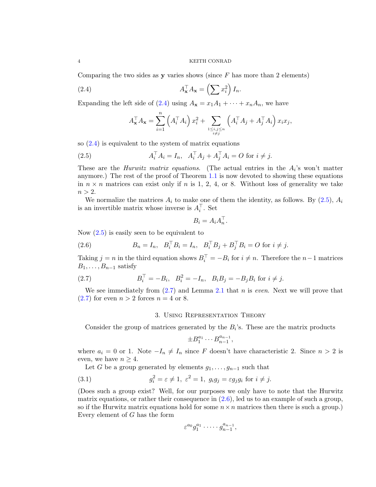## 4 KEITH CONRAD

Comparing the two sides as **y** varies shows (since  $F$  has more than 2 elements)

(2.4) 
$$
A_{\mathbf{x}}^{\top} A_{\mathbf{x}} = \left(\sum x_i^2\right) I_n.
$$

Expanding the left side of [\(2.4\)](#page-3-1) using  $A_x = x_1A_1 + \cdots + x_nA_n$ , we have

<span id="page-3-2"></span><span id="page-3-1"></span>
$$
A_{\mathbf{x}}^{\top} A_{\mathbf{x}} = \sum_{i=1}^{n} \left( A_i^{\top} A_i \right) x_i^2 + \sum_{\substack{1 \le i,j \le n \\ i \ne j}} \left( A_i^{\top} A_j + A_j^{\top} A_i \right) x_i x_j,
$$

so  $(2.4)$  is equivalent to the system of matrix equations

(2.5) 
$$
A_i^{\top} A_i = I_n, \ \ A_i^{\top} A_j + A_j^{\top} A_i = O \text{ for } i \neq j.
$$

These are the *Hurwitz matrix equations*. (The actual entries in the  $A_i$ 's won't matter anymore.) The rest of the proof of Theorem [1.1](#page-0-2) is now devoted to showing these equations in  $n \times n$  matrices can exist only if n is 1, 2, 4, or 8. Without loss of generality we take  $n > 2$ .

We normalize the matrices  $A_i$  to make one of them the identity, as follows. By [\(2.5\)](#page-3-2),  $A_i$ is an invertible matrix whose inverse is  $A_i^{\top}$ . Set

$$
B_i = A_i A_n^{\top}.
$$

Now  $(2.5)$  is easily seen to be equivalent to

<span id="page-3-4"></span>(2.6) 
$$
B_n = I_n, \ \ B_i^{\top} B_i = I_n, \ \ B_i^{\top} B_j + B_j^{\top} B_i = O \text{ for } i \neq j.
$$

Taking  $j = n$  in the third equation shows  $B_i^{\top} = -B_i$  for  $i \neq n$ . Therefore the  $n-1$  matrices  $B_1, \ldots, B_{n-1}$  satisfy

(2.7) 
$$
B_i^{\top} = -B_i, \quad B_i^2 = -I_n, \quad B_i B_j = -B_j B_i \text{ for } i \neq j.
$$

We see immediately from  $(2.7)$  and Lemma [2.1](#page-1-3) that n is *even*. Next we will prove that  $(2.7)$  for even  $n > 2$  forces  $n = 4$  or 8.

## <span id="page-3-3"></span>3. Using Representation Theory

<span id="page-3-0"></span>Consider the group of matrices generated by the  $B_i$ 's. These are the matrix products

<span id="page-3-5"></span>
$$
\pm B_1^{a_1} \cdots B_{n-1}^{a_{n-1}},
$$

where  $a_i = 0$  or 1. Note  $-I_n \neq I_n$  since F doesn't have characteristic 2. Since  $n > 2$  is even, we have  $n \geq 4$ .

Let G be a group generated by elements  $g_1, \ldots, g_{n-1}$  such that

(3.1) 
$$
g_i^2 = \varepsilon \neq 1, \ \varepsilon^2 = 1, \ g_i g_j = \varepsilon g_j g_i \text{ for } i \neq j.
$$

(Does such a group exist? Well, for our purposes we only have to note that the Hurwitz matrix equations, or rather their consequence in  $(2.6)$ , led us to an example of such a group, so if the Hurwitz matrix equations hold for some  $n \times n$  matrices then there is such a group.) Every element of G has the form

$$
\varepsilon^{a_0} g_1^{a_1} \cdot \dots \cdot g_{n-1}^{a_{n-1}},
$$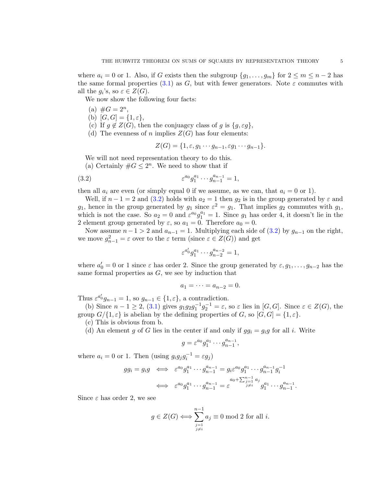where  $a_i = 0$  or 1. Also, if G exists then the subgroup  $\{g_1, \ldots, g_m\}$  for  $2 \le m \le n-2$  has the same formal properties [\(3.1\)](#page-3-5) as G, but with fewer generators. Note  $\varepsilon$  commutes with all the  $g_i$ 's, so  $\varepsilon \in Z(G)$ .

We now show the following four facts:

- (a)  $\#G = 2^n$ ,
- (b)  $[G, G] = \{1, \varepsilon\},\$
- (c) If  $q \notin Z(G)$ , then the conjuagcy class of g is  $\{q, \varepsilon q\},\$
- (d) The evenness of n implies  $Z(G)$  has four elements:

<span id="page-4-0"></span>
$$
Z(G) = \{1, \varepsilon, g_1 \cdots g_{n-1}, \varepsilon g_1 \cdots g_{n-1}\}.
$$

We will not need representation theory to do this.

(a) Certainly  $\#G \leq 2^n$ . We need to show that if

(3.2) 
$$
\varepsilon^{a_0} g_1^{a_1} \cdots g_{n-1}^{a_{n-1}} = 1,
$$

then all  $a_i$  are even (or simply equal 0 if we assume, as we can, that  $a_i = 0$  or 1).

Well, if  $n-1=2$  and  $(3.2)$  holds with  $a_2=1$  then  $g_2$  is in the group generated by  $\varepsilon$  and  $g_1$ , hence in the group generated by  $g_1$  since  $\varepsilon^2 = g_1$ . That implies  $g_2$  commutes with  $g_1$ , which is not the case. So  $a_2 = 0$  and  $\varepsilon^{a_0} g_1^{a_1} = 1$ . Since  $g_1$  has order 4, it doesn't lie in the 2 element group generated by  $\varepsilon$ , so  $a_1 = 0$ . Therefore  $a_0 = 0$ .

Now assume  $n-1 > 2$  and  $a_{n-1} = 1$ . Multiplying each side of [\(3.2\)](#page-4-0) by  $g_{n-1}$  on the right, we move  $g_{n-1}^2 = \varepsilon$  over to the  $\varepsilon$  term (since  $\varepsilon \in Z(G)$ ) and get

$$
\varepsilon^{a'_0} g_1^{a_1} \cdots g_{n-2}^{a_{n-2}} = 1,
$$

where  $a'_0 = 0$  or 1 since  $\varepsilon$  has order 2. Since the group generated by  $\varepsilon, g_1, \ldots, g_{n-2}$  has the same formal properties as  $G$ , we see by induction that

$$
a_1=\cdots=a_{n-2}=0.
$$

Thus  $\varepsilon^{a'_0}g_{n-1} = 1$ , so  $g_{n-1} \in \{1, \varepsilon\}$ , a contradiction.

(b) Since  $n-1 \geq 2$ , [\(3.1\)](#page-3-5) gives  $g_1g_2g_1^{-1}g_2^{-1} = \varepsilon$ , so  $\varepsilon$  lies in [G, G]. Since  $\varepsilon \in Z(G)$ , the group  $G/\{1,\varepsilon\}$  is abelian by the defining properties of G, so  $[G,G] = \{1,\varepsilon\}.$ 

(c) This is obvious from b.

(d) An element g of G lies in the center if and only if  $gg_i = g_i g$  for all i. Write

$$
g = \varepsilon^{a_0} g_1^{a_1} \cdots g_{n-1}^{a_{n-1}},
$$

where  $a_i = 0$  or 1. Then (using  $g_i g_j g_i^{-1} = \varepsilon g_j$ )

$$
gg_i = g_i g \iff \varepsilon^{a_0} g_1^{a_1} \cdots g_{n-1}^{a_{n-1}} = g_i \varepsilon^{a_0} g_1^{a_1} \cdots g_{n-1}^{a_{n-1}} g_i^{-1}
$$
  

$$
\iff \varepsilon^{a_0} g_1^{a_1} \cdots g_{n-1}^{a_{n-1}} = \varepsilon \int_{j \neq i}^{a_0 + \sum_{j=1}^{n-1} a_j} g_1^{a_1} \cdots g_{n-1}^{a_{n-1}}.
$$

Since  $\varepsilon$  has order 2, we see

$$
g \in Z(G) \Longleftrightarrow \sum_{\substack{j=1 \\ j \neq i}}^{n-1} a_j \equiv 0 \mod 2 \text{ for all } i.
$$